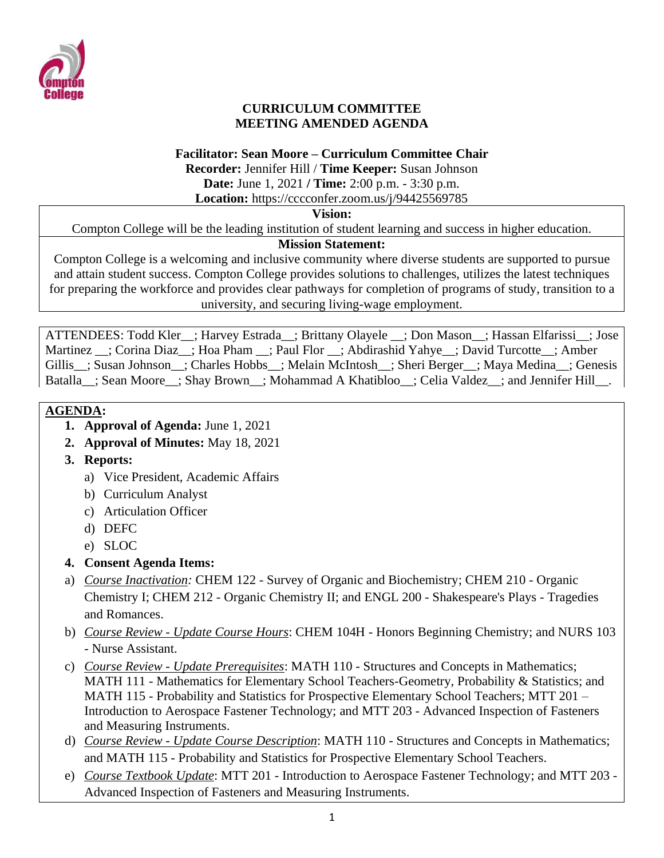

#### **CURRICULUM COMMITTEE MEETING AMENDED AGENDA**

#### **Facilitator: Sean Moore – Curriculum Committee Chair**

**Recorder:** Jennifer Hill / **Time Keeper:** Susan Johnson **Date:** June 1, 2021 **/ Time:** 2:00 p.m. - 3:30 p.m.

**Location:** https://cccconfer.zoom.us/j/94425569785

#### **Vision:**

Compton College will be the leading institution of student learning and success in higher education.

#### **Mission Statement:**

Compton College is a welcoming and inclusive community where diverse students are supported to pursue and attain student success. Compton College provides solutions to challenges, utilizes the latest techniques for preparing the workforce and provides clear pathways for completion of programs of study, transition to a university, and securing living-wage employment.

ATTENDEES: Todd Kler ; Harvey Estrada ; Brittany Olayele ; Don Mason ; Hassan Elfarissi ; Jose Martinez \_\_; Corina Diaz\_\_; Hoa Pham \_\_; Paul Flor \_\_; Abdirashid Yahye\_\_; David Turcotte\_\_; Amber Gillis : Susan Johnson : Charles Hobbs : Melain McIntosh : Sheri Berger : Maya Medina : Genesis Batalla\_; Sean Moore\_; Shay Brown\_; Mohammad A Khatibloo\_; Celia Valdez\_; and Jennifer Hill\_.

### **AGENDA:**

- **1. Approval of Agenda:** June 1, 2021
- **2. Approval of Minutes:** May 18, 2021
- **3. Reports:** 
	- a) Vice President, Academic Affairs
	- b) Curriculum Analyst
	- c) Articulation Officer
	- d) DEFC
	- e) SLOC
- **4. Consent Agenda Items:**
- a) *Course Inactivation:* CHEM 122 Survey of Organic and Biochemistry; CHEM 210 Organic Chemistry I; CHEM 212 - Organic Chemistry II; and ENGL 200 - Shakespeare's Plays - Tragedies and Romances.
- b) *Course Review - Update Course Hours*: CHEM 104H Honors Beginning Chemistry; and NURS 103 - Nurse Assistant.
- c) *Course Review - Update Prerequisites*: MATH 110 Structures and Concepts in Mathematics; MATH 111 - Mathematics for Elementary School Teachers-Geometry, Probability & Statistics; and MATH 115 - Probability and Statistics for Prospective Elementary School Teachers; MTT 201 – Introduction to Aerospace Fastener Technology; and MTT 203 - Advanced Inspection of Fasteners and Measuring Instruments.
- d) *Course Review - Update Course Description*: MATH 110 Structures and Concepts in Mathematics; and MATH 115 - Probability and Statistics for Prospective Elementary School Teachers.
- e) *Course Textbook Update*: MTT 201 Introduction to Aerospace Fastener Technology; and MTT 203 Advanced Inspection of Fasteners and Measuring Instruments.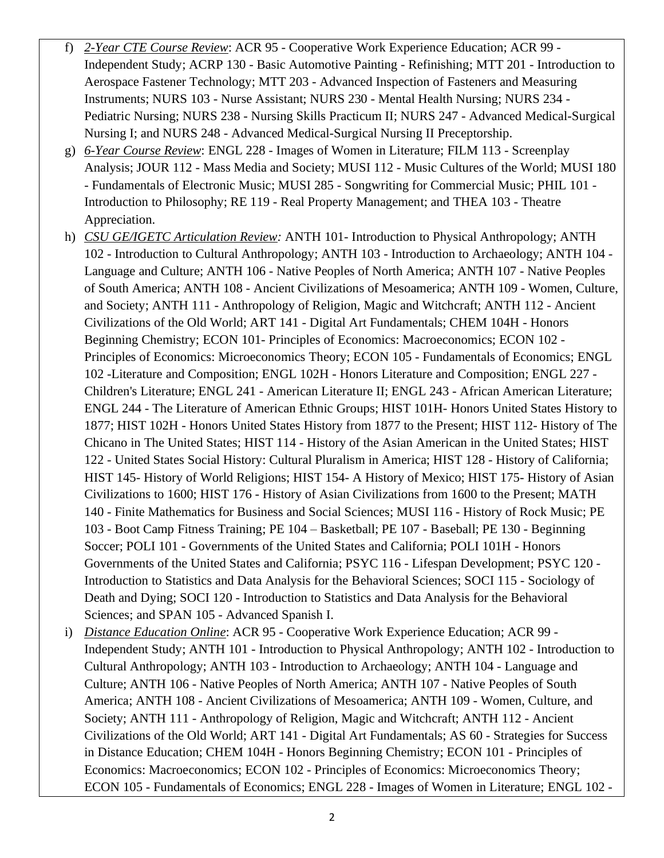- f) *2-Year CTE Course Review*: ACR 95 Cooperative Work Experience Education; ACR 99 Independent Study; ACRP 130 - Basic Automotive Painting - Refinishing; MTT 201 - Introduction to Aerospace Fastener Technology; MTT 203 - Advanced Inspection of Fasteners and Measuring Instruments; NURS 103 - Nurse Assistant; NURS 230 - Mental Health Nursing; NURS 234 - Pediatric Nursing; NURS 238 - Nursing Skills Practicum II; NURS 247 - Advanced Medical-Surgical Nursing I; and NURS 248 - Advanced Medical-Surgical Nursing II Preceptorship.
- g) *6-Year Course Review*: ENGL 228 Images of Women in Literature; FILM 113 Screenplay Analysis; JOUR 112 - Mass Media and Society; MUSI 112 - Music Cultures of the World; MUSI 180 - Fundamentals of Electronic Music; MUSI 285 - Songwriting for Commercial Music; PHIL 101 - Introduction to Philosophy; RE 119 - Real Property Management; and THEA 103 - Theatre Appreciation.
- h) *CSU GE/IGETC Articulation Review:* ANTH 101- Introduction to Physical Anthropology; ANTH 102 - Introduction to Cultural Anthropology; ANTH 103 - Introduction to Archaeology; ANTH 104 - Language and Culture; ANTH 106 - Native Peoples of North America; ANTH 107 - Native Peoples of South America; ANTH 108 - Ancient Civilizations of Mesoamerica; ANTH 109 - Women, Culture, and Society; ANTH 111 - Anthropology of Religion, Magic and Witchcraft; ANTH 112 - Ancient Civilizations of the Old World; ART 141 - Digital Art Fundamentals; CHEM 104H - Honors Beginning Chemistry; ECON 101- Principles of Economics: Macroeconomics; ECON 102 - Principles of Economics: Microeconomics Theory; ECON 105 - Fundamentals of Economics; ENGL 102 -Literature and Composition; ENGL 102H - Honors Literature and Composition; ENGL 227 - Children's Literature; ENGL 241 - American Literature II; ENGL 243 - African American Literature; ENGL 244 - The Literature of American Ethnic Groups; HIST 101H- Honors United States History to 1877; HIST 102H - Honors United States History from 1877 to the Present; HIST 112- History of The Chicano in The United States; HIST 114 - History of the Asian American in the United States; HIST 122 - United States Social History: Cultural Pluralism in America; HIST 128 - History of California; HIST 145- History of World Religions; HIST 154- A History of Mexico; HIST 175- History of Asian Civilizations to 1600; HIST 176 - History of Asian Civilizations from 1600 to the Present; MATH 140 - Finite Mathematics for Business and Social Sciences; MUSI 116 - History of Rock Music; PE 103 - Boot Camp Fitness Training; PE 104 – Basketball; PE 107 - Baseball; PE 130 - Beginning Soccer; POLI 101 - Governments of the United States and California; POLI 101H - Honors Governments of the United States and California; PSYC 116 - Lifespan Development; PSYC 120 - Introduction to Statistics and Data Analysis for the Behavioral Sciences; SOCI 115 - Sociology of Death and Dying; SOCI 120 - Introduction to Statistics and Data Analysis for the Behavioral Sciences; and SPAN 105 - Advanced Spanish I.
- i) *Distance Education Online*: ACR 95 Cooperative Work Experience Education; ACR 99 Independent Study; ANTH 101 - Introduction to Physical Anthropology; ANTH 102 - Introduction to Cultural Anthropology; ANTH 103 - Introduction to Archaeology; ANTH 104 - Language and Culture; ANTH 106 - Native Peoples of North America; ANTH 107 - Native Peoples of South America; ANTH 108 - Ancient Civilizations of Mesoamerica; ANTH 109 - Women, Culture, and Society; ANTH 111 - Anthropology of Religion, Magic and Witchcraft; ANTH 112 - Ancient Civilizations of the Old World; ART 141 - Digital Art Fundamentals; AS 60 - Strategies for Success in Distance Education; CHEM 104H - Honors Beginning Chemistry; ECON 101 - Principles of Economics: Macroeconomics; ECON 102 - Principles of Economics: Microeconomics Theory; ECON 105 - Fundamentals of Economics; ENGL 228 - Images of Women in Literature; ENGL 102 -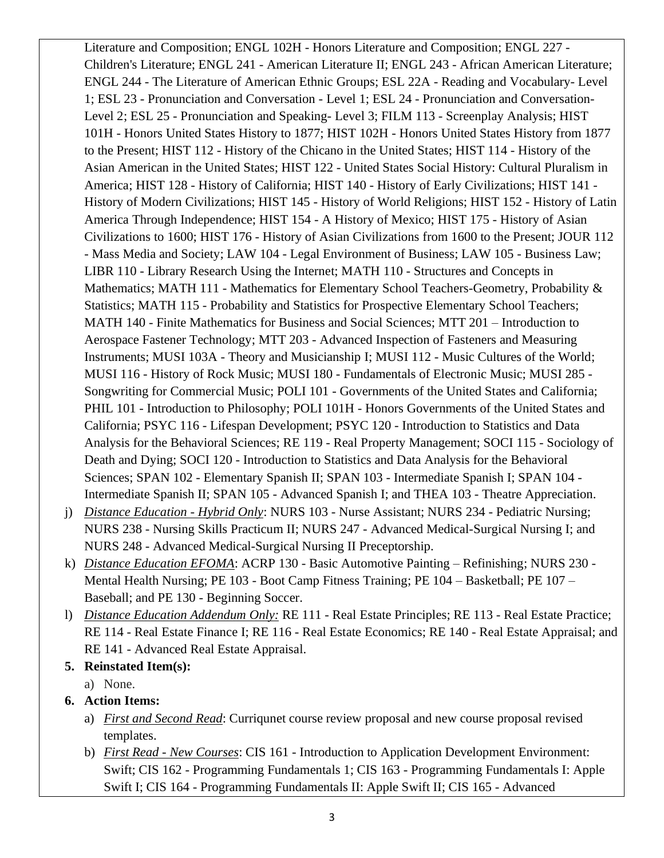Literature and Composition; ENGL 102H - Honors Literature and Composition; ENGL 227 - Children's Literature; ENGL 241 - American Literature II; ENGL 243 - African American Literature; ENGL 244 - The Literature of American Ethnic Groups; ESL 22A - Reading and Vocabulary- Level 1; ESL 23 - Pronunciation and Conversation - Level 1; ESL 24 - Pronunciation and Conversation-Level 2; ESL 25 - Pronunciation and Speaking- Level 3; FILM 113 - Screenplay Analysis; HIST 101H - Honors United States History to 1877; HIST 102H - Honors United States History from 1877 to the Present; HIST 112 - History of the Chicano in the United States; HIST 114 - History of the Asian American in the United States; HIST 122 - United States Social History: Cultural Pluralism in America; HIST 128 - History of California; HIST 140 - History of Early Civilizations; HIST 141 - History of Modern Civilizations; HIST 145 - History of World Religions; HIST 152 - History of Latin America Through Independence; HIST 154 - A History of Mexico; HIST 175 - History of Asian Civilizations to 1600; HIST 176 - History of Asian Civilizations from 1600 to the Present; JOUR 112 - Mass Media and Society; LAW 104 - Legal Environment of Business; LAW 105 - Business Law; LIBR 110 - Library Research Using the Internet; MATH 110 - Structures and Concepts in Mathematics; MATH 111 - Mathematics for Elementary School Teachers-Geometry, Probability & Statistics; MATH 115 - Probability and Statistics for Prospective Elementary School Teachers; MATH 140 - Finite Mathematics for Business and Social Sciences; MTT 201 – Introduction to Aerospace Fastener Technology; MTT 203 - Advanced Inspection of Fasteners and Measuring Instruments; MUSI 103A - Theory and Musicianship I; MUSI 112 - Music Cultures of the World; MUSI 116 - History of Rock Music; MUSI 180 - Fundamentals of Electronic Music; MUSI 285 - Songwriting for Commercial Music; POLI 101 - Governments of the United States and California; PHIL 101 - Introduction to Philosophy; POLI 101H - Honors Governments of the United States and California; PSYC 116 - Lifespan Development; PSYC 120 - Introduction to Statistics and Data Analysis for the Behavioral Sciences; RE 119 - Real Property Management; SOCI 115 - Sociology of Death and Dying; SOCI 120 - Introduction to Statistics and Data Analysis for the Behavioral Sciences; SPAN 102 - Elementary Spanish II; SPAN 103 - Intermediate Spanish I; SPAN 104 - Intermediate Spanish II; SPAN 105 - Advanced Spanish I; and THEA 103 - Theatre Appreciation.

- j) *Distance Education - Hybrid Only*: NURS 103 Nurse Assistant; NURS 234 Pediatric Nursing; NURS 238 - Nursing Skills Practicum II; NURS 247 - Advanced Medical-Surgical Nursing I; and NURS 248 - Advanced Medical-Surgical Nursing II Preceptorship.
- k) *Distance Education EFOMA*: ACRP 130 Basic Automotive Painting Refinishing; NURS 230 Mental Health Nursing; PE 103 - Boot Camp Fitness Training; PE 104 – Basketball; PE 107 – Baseball; and PE 130 - Beginning Soccer.
- l) *Distance Education Addendum Only:* RE 111 Real Estate Principles; RE 113 Real Estate Practice; RE 114 - Real Estate Finance I; RE 116 - Real Estate Economics; RE 140 - Real Estate Appraisal; and RE 141 - Advanced Real Estate Appraisal.
- **5. Reinstated Item(s):** 
	- a) None.

# **6. Action Items:**

- a) *First and Second Read*: Curriqunet course review proposal and new course proposal revised templates.
- b) *First Read - New Courses*: CIS 161 Introduction to Application Development Environment: Swift; CIS 162 - Programming Fundamentals 1; CIS 163 - Programming Fundamentals I: Apple Swift I; CIS 164 - Programming Fundamentals II: Apple Swift II; CIS 165 - Advanced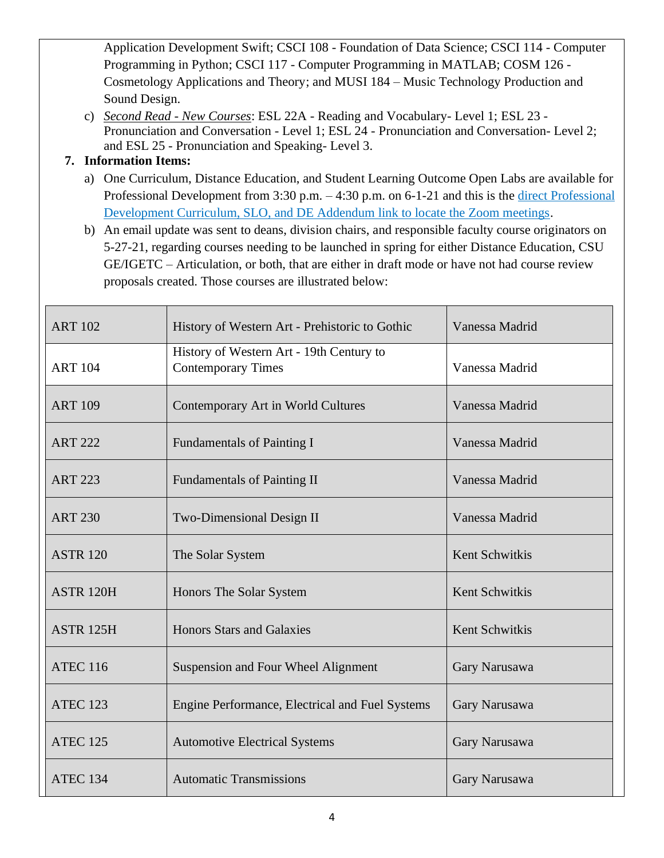Application Development Swift; CSCI 108 - Foundation of Data Science; CSCI 114 - Computer Programming in Python; CSCI 117 - Computer Programming in MATLAB; COSM 126 - Cosmetology Applications and Theory; and MUSI 184 – Music Technology Production and Sound Design.

c) *Second Read - New Courses*: ESL 22A - Reading and Vocabulary- Level 1; ESL 23 - Pronunciation and Conversation - Level 1; ESL 24 - Pronunciation and Conversation- Level 2; and ESL 25 - Pronunciation and Speaking- Level 3.

## **7. Information Items:**

a) One Curriculum, Distance Education, and Student Learning Outcome Open Labs are available for Professional Development from 3:30 p.m. – 4:30 p.m. on 6-1-21 and this is the <u>direct Professional</u> [Development Curriculum, SLO, and DE Addendum link to locate the Zoom meetings.](http://www.compton.edu/facultystaff/professional-development/slos-de-addendum.aspx)

b) An email update was sent to deans, division chairs, and responsible faculty course originators on 5-27-21, regarding courses needing to be launched in spring for either Distance Education, CSU GE/IGETC – Articulation, or both, that are either in draft mode or have not had course review proposals created. Those courses are illustrated below:

| <b>ART 102</b>       | History of Western Art - Prehistoric to Gothic                        | Vanessa Madrid |
|----------------------|-----------------------------------------------------------------------|----------------|
| <b>ART 104</b>       | History of Western Art - 19th Century to<br><b>Contemporary Times</b> | Vanessa Madrid |
| <b>ART 109</b>       | Contemporary Art in World Cultures                                    | Vanessa Madrid |
| <b>ART 222</b>       | <b>Fundamentals of Painting I</b>                                     | Vanessa Madrid |
| <b>ART 223</b>       | <b>Fundamentals of Painting II</b>                                    | Vanessa Madrid |
| <b>ART 230</b>       | Two-Dimensional Design II                                             | Vanessa Madrid |
| <b>ASTR 120</b>      | The Solar System                                                      | Kent Schwitkis |
| ASTR <sub>120H</sub> | Honors The Solar System                                               | Kent Schwitkis |
| ASTR <sub>125H</sub> | <b>Honors Stars and Galaxies</b>                                      | Kent Schwitkis |
| <b>ATEC 116</b>      | Suspension and Four Wheel Alignment                                   | Gary Narusawa  |
| <b>ATEC 123</b>      | Engine Performance, Electrical and Fuel Systems                       | Gary Narusawa  |
| <b>ATEC 125</b>      | <b>Automotive Electrical Systems</b>                                  | Gary Narusawa  |
| <b>ATEC 134</b>      | <b>Automatic Transmissions</b>                                        | Gary Narusawa  |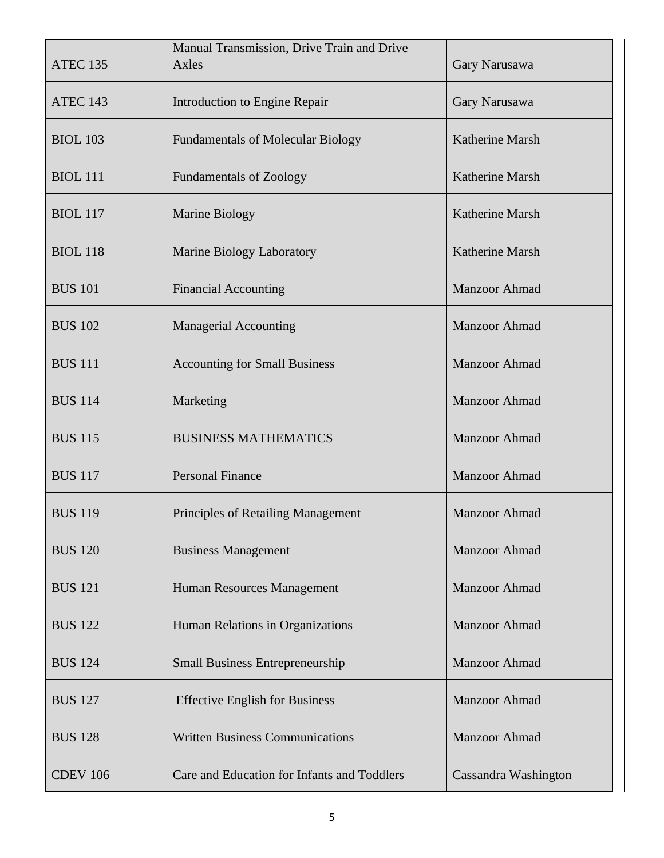| <b>ATEC 135</b> | Manual Transmission, Drive Train and Drive<br>Axles | Gary Narusawa          |
|-----------------|-----------------------------------------------------|------------------------|
| ATEC 143        | Introduction to Engine Repair                       | Gary Narusawa          |
| <b>BIOL 103</b> | <b>Fundamentals of Molecular Biology</b>            | Katherine Marsh        |
| <b>BIOL</b> 111 | <b>Fundamentals of Zoology</b>                      | <b>Katherine Marsh</b> |
| <b>BIOL</b> 117 | <b>Marine Biology</b>                               | Katherine Marsh        |
| <b>BIOL 118</b> | <b>Marine Biology Laboratory</b>                    | Katherine Marsh        |
| <b>BUS 101</b>  | <b>Financial Accounting</b>                         | Manzoor Ahmad          |
| <b>BUS 102</b>  | <b>Managerial Accounting</b>                        | <b>Manzoor Ahmad</b>   |
| <b>BUS 111</b>  | <b>Accounting for Small Business</b>                | Manzoor Ahmad          |
| <b>BUS 114</b>  | Marketing                                           | <b>Manzoor Ahmad</b>   |
| <b>BUS 115</b>  | <b>BUSINESS MATHEMATICS</b>                         | <b>Manzoor Ahmad</b>   |
| <b>BUS 117</b>  | <b>Personal Finance</b>                             | <b>Manzoor Ahmad</b>   |
| <b>BUS 119</b>  | Principles of Retailing Management                  | Manzoor Ahmad          |
| <b>BUS 120</b>  | <b>Business Management</b>                          | <b>Manzoor Ahmad</b>   |
| <b>BUS 121</b>  | Human Resources Management                          | <b>Manzoor Ahmad</b>   |
| <b>BUS 122</b>  | Human Relations in Organizations                    | <b>Manzoor Ahmad</b>   |
| <b>BUS 124</b>  | <b>Small Business Entrepreneurship</b>              | <b>Manzoor Ahmad</b>   |
| <b>BUS 127</b>  | <b>Effective English for Business</b>               | Manzoor Ahmad          |
| <b>BUS 128</b>  | <b>Written Business Communications</b>              | <b>Manzoor Ahmad</b>   |
| <b>CDEV 106</b> | Care and Education for Infants and Toddlers         | Cassandra Washington   |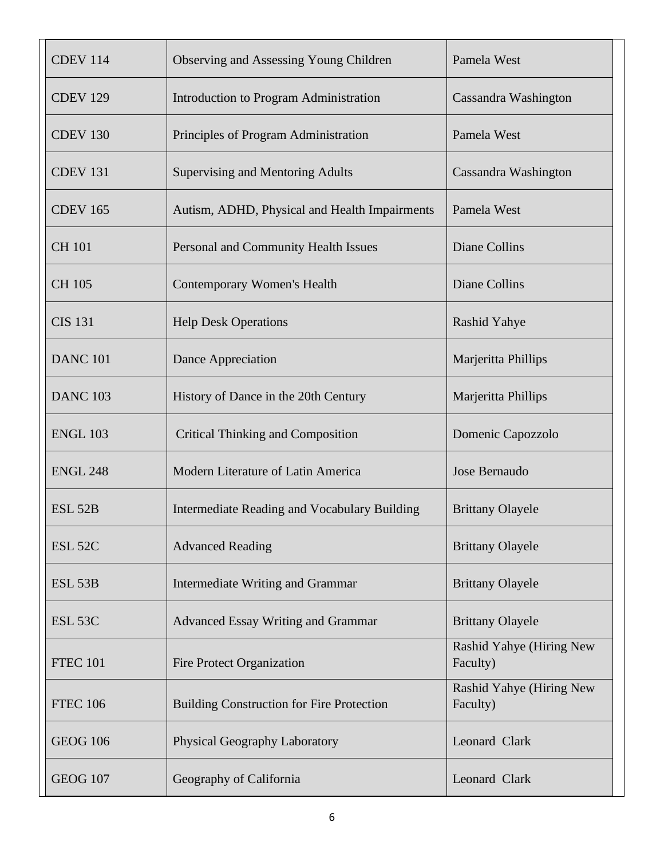| <b>CDEV 114</b>    | Observing and Assessing Young Children           | Pamela West                          |
|--------------------|--------------------------------------------------|--------------------------------------|
| <b>CDEV 129</b>    | Introduction to Program Administration           | Cassandra Washington                 |
| <b>CDEV 130</b>    | Principles of Program Administration             | Pamela West                          |
| <b>CDEV 131</b>    | <b>Supervising and Mentoring Adults</b>          | Cassandra Washington                 |
| <b>CDEV 165</b>    | Autism, ADHD, Physical and Health Impairments    | Pamela West                          |
| <b>CH 101</b>      | Personal and Community Health Issues             | <b>Diane Collins</b>                 |
| CH 105             | <b>Contemporary Women's Health</b>               | <b>Diane Collins</b>                 |
| <b>CIS 131</b>     | <b>Help Desk Operations</b>                      | <b>Rashid Yahye</b>                  |
| <b>DANC 101</b>    | Dance Appreciation                               | Marjeritta Phillips                  |
| <b>DANC 103</b>    | History of Dance in the 20th Century             | Marjeritta Phillips                  |
| <b>ENGL 103</b>    | <b>Critical Thinking and Composition</b>         | Domenic Capozzolo                    |
| <b>ENGL 248</b>    | Modern Literature of Latin America               | Jose Bernaudo                        |
| <b>ESL 52B</b>     | Intermediate Reading and Vocabulary Building     | <b>Brittany Olayele</b>              |
| ESL <sub>52C</sub> | <b>Advanced Reading</b>                          | <b>Brittany Olayele</b>              |
| ESL <sub>53B</sub> | Intermediate Writing and Grammar                 | <b>Brittany Olayele</b>              |
| ESL <sub>53C</sub> | <b>Advanced Essay Writing and Grammar</b>        | <b>Brittany Olayele</b>              |
| <b>FTEC 101</b>    | <b>Fire Protect Organization</b>                 | Rashid Yahye (Hiring New<br>Faculty) |
| <b>FTEC 106</b>    | <b>Building Construction for Fire Protection</b> | Rashid Yahye (Hiring New<br>Faculty) |
| <b>GEOG 106</b>    | Physical Geography Laboratory                    | Leonard Clark                        |
| <b>GEOG 107</b>    | Geography of California                          | Leonard Clark                        |